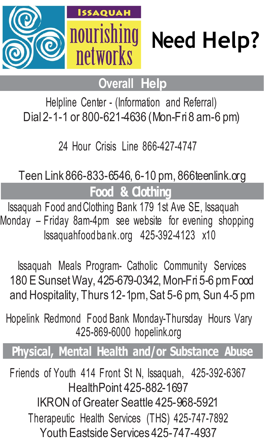



# **Overall Help**

Helpline Center - (Information and Referral) Dial 2-1-1 or 800-621-4636 (Mon-Fri 8 am-6 pm)

24 Hour Crisis Line 866-427-4747

Teen Link 866-833-6546, 6-10 pm, 866teenlink.org

**Food & Clothing**

Issaquah Food andClothing Bank 179 1st Ave SE, Issaquah Monday – Friday 8am-4pm see website for evening shopping Issaquahfood ba nk.org 425-392-4123 x10

Issaquah Meals Program- Catholic Community Services 180 E Sunset Way, 425-679-0342, Mon-Fri 5-6 pm Food and Hospitality, Thurs 12-1pm,Sat 5-6 pm, Sun 4-5 pm

Hopelink Redmond Food Bank Monday-Thursday Hours Vary 425-869-6000 hopelink.org

## **Physical, Mental Health and/or Substance Abuse**

Friends of Youth 414 Front St N, Issaquah, 425-392-6367 HealthPoint 425-882-1697 IKRON of Greater Seattle 425-968-5921 Therapeutic Health Services (THS) 425-747-7892 Youth Eastside Services 425-747-4937